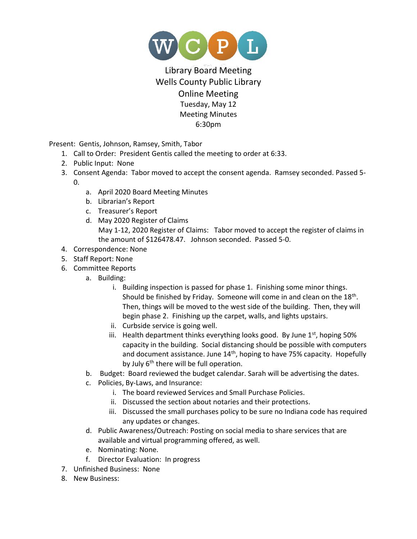

## Library Board Meeting Wells County Public Library Online Meeting Tuesday, May 12 Meeting Minutes 6:30pm

Present: Gentis, Johnson, Ramsey, Smith, Tabor

- 1. Call to Order: President Gentis called the meeting to order at 6:33.
- 2. Public Input: None
- 3. Consent Agenda: Tabor moved to accept the consent agenda. Ramsey seconded. Passed 5- 0.
	- a. April 2020 Board Meeting Minutes
	- b. Librarian's Report
	- c. Treasurer's Report
	- d. May 2020 Register of Claims May 1-12, 2020 Register of Claims: Tabor moved to accept the register of claims in the amount of \$126478.47. Johnson seconded. Passed 5-0.
- 4. Correspondence: None
- 5. Staff Report: None
- 6. Committee Reports
	- a. Building:
		- i. Building inspection is passed for phase 1. Finishing some minor things. Should be finished by Friday. Someone will come in and clean on the  $18<sup>th</sup>$ . Then, things will be moved to the west side of the building. Then, they will begin phase 2. Finishing up the carpet, walls, and lights upstairs.
		- ii. Curbside service is going well.
		- iii. Health department thinks everything looks good. By June  $1<sup>st</sup>$ , hoping 50% capacity in the building. Social distancing should be possible with computers and document assistance. June  $14<sup>th</sup>$ , hoping to have 75% capacity. Hopefully by July 6<sup>th</sup> there will be full operation.
	- b. Budget: Board reviewed the budget calendar. Sarah will be advertising the dates.
	- c. Policies, By-Laws, and Insurance:
		- i. The board reviewed Services and Small Purchase Policies.
		- ii. Discussed the section about notaries and their protections.
		- iii. Discussed the small purchases policy to be sure no Indiana code has required any updates or changes.
	- d. Public Awareness/Outreach: Posting on social media to share services that are available and virtual programming offered, as well.
	- e. Nominating: None.
	- f. Director Evaluation: In progress
- 7. Unfinished Business: None
- 8. New Business: